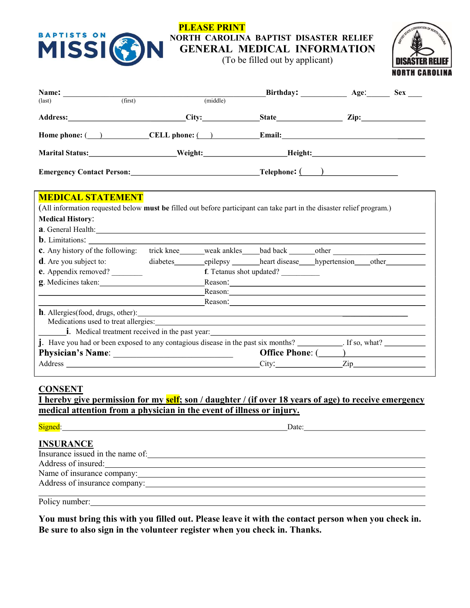

## PLEASE PRINT NORTH CAROLINA BAPTIST DISASTER RELIEF GENERAL MEDICAL INFORMATION

(To be filled out by applicant)



| Address: City: State Zip: Zip:<br><b>MEDICAL STATEMENT</b><br>(All information requested below must be filled out before participant can take part in the disaster relief program.)<br><b>a</b> . General Health: <u>Contract Contract Contract Contract Contract Contract Contract Contract Contract Contract Contract Contract Contract Contract Contract Contract Contract Contract Contract Contract Contract Contract Co</u><br><b>b</b> . Limitations:<br>c. Any history of the following: trick knee ______ weak ankles _____bad back _______other ____________________<br><b>d</b> . Are you subject to:<br>diabetes epilepsy heart disease hypertension other<br><b>e.</b> Appendix removed?<br>f. Tetanus shot updated?<br>g. Medicines taken:<br>Reason: New York Changes and the Changes of the Changes of the Changes of the Changes of the Changes of the Changes of the Changes of the Changes of the Changes of the Changes of the Changes of the Changes of the Changes o<br>Reason: 2008 Contract and the contract of the contract of the contract of the contract of the contract of the contract of the contract of the contract of the contract of the contract of the contract of the contract of the<br>$\blacksquare$ Medical treatment received in the past year: $\blacksquare$<br><b>j</b> . Have you had or been exposed to any contagious disease in the past six months? $\frac{1}{\sqrt{1-\frac{1}{n}}}\$ . If so, what?<br>City: Zip |                            |          |  | Age: | Sex |
|----------------------------------------------------------------------------------------------------------------------------------------------------------------------------------------------------------------------------------------------------------------------------------------------------------------------------------------------------------------------------------------------------------------------------------------------------------------------------------------------------------------------------------------------------------------------------------------------------------------------------------------------------------------------------------------------------------------------------------------------------------------------------------------------------------------------------------------------------------------------------------------------------------------------------------------------------------------------------------------------------------------------------------------------------------------------------------------------------------------------------------------------------------------------------------------------------------------------------------------------------------------------------------------------------------------------------------------------------------------------------------------------------------------------------------------------------------------------|----------------------------|----------|--|------|-----|
|                                                                                                                                                                                                                                                                                                                                                                                                                                                                                                                                                                                                                                                                                                                                                                                                                                                                                                                                                                                                                                                                                                                                                                                                                                                                                                                                                                                                                                                                      | (first)<br>$\text{(last)}$ | (middle) |  |      |     |
|                                                                                                                                                                                                                                                                                                                                                                                                                                                                                                                                                                                                                                                                                                                                                                                                                                                                                                                                                                                                                                                                                                                                                                                                                                                                                                                                                                                                                                                                      |                            |          |  |      |     |
|                                                                                                                                                                                                                                                                                                                                                                                                                                                                                                                                                                                                                                                                                                                                                                                                                                                                                                                                                                                                                                                                                                                                                                                                                                                                                                                                                                                                                                                                      |                            |          |  |      |     |
|                                                                                                                                                                                                                                                                                                                                                                                                                                                                                                                                                                                                                                                                                                                                                                                                                                                                                                                                                                                                                                                                                                                                                                                                                                                                                                                                                                                                                                                                      |                            |          |  |      |     |
|                                                                                                                                                                                                                                                                                                                                                                                                                                                                                                                                                                                                                                                                                                                                                                                                                                                                                                                                                                                                                                                                                                                                                                                                                                                                                                                                                                                                                                                                      |                            |          |  |      |     |
|                                                                                                                                                                                                                                                                                                                                                                                                                                                                                                                                                                                                                                                                                                                                                                                                                                                                                                                                                                                                                                                                                                                                                                                                                                                                                                                                                                                                                                                                      | <b>Medical History:</b>    |          |  |      |     |
|                                                                                                                                                                                                                                                                                                                                                                                                                                                                                                                                                                                                                                                                                                                                                                                                                                                                                                                                                                                                                                                                                                                                                                                                                                                                                                                                                                                                                                                                      |                            |          |  |      |     |
|                                                                                                                                                                                                                                                                                                                                                                                                                                                                                                                                                                                                                                                                                                                                                                                                                                                                                                                                                                                                                                                                                                                                                                                                                                                                                                                                                                                                                                                                      |                            |          |  |      |     |
|                                                                                                                                                                                                                                                                                                                                                                                                                                                                                                                                                                                                                                                                                                                                                                                                                                                                                                                                                                                                                                                                                                                                                                                                                                                                                                                                                                                                                                                                      |                            |          |  |      |     |
|                                                                                                                                                                                                                                                                                                                                                                                                                                                                                                                                                                                                                                                                                                                                                                                                                                                                                                                                                                                                                                                                                                                                                                                                                                                                                                                                                                                                                                                                      |                            |          |  |      |     |
|                                                                                                                                                                                                                                                                                                                                                                                                                                                                                                                                                                                                                                                                                                                                                                                                                                                                                                                                                                                                                                                                                                                                                                                                                                                                                                                                                                                                                                                                      |                            |          |  |      |     |
|                                                                                                                                                                                                                                                                                                                                                                                                                                                                                                                                                                                                                                                                                                                                                                                                                                                                                                                                                                                                                                                                                                                                                                                                                                                                                                                                                                                                                                                                      |                            |          |  |      |     |
|                                                                                                                                                                                                                                                                                                                                                                                                                                                                                                                                                                                                                                                                                                                                                                                                                                                                                                                                                                                                                                                                                                                                                                                                                                                                                                                                                                                                                                                                      |                            |          |  |      |     |
|                                                                                                                                                                                                                                                                                                                                                                                                                                                                                                                                                                                                                                                                                                                                                                                                                                                                                                                                                                                                                                                                                                                                                                                                                                                                                                                                                                                                                                                                      |                            |          |  |      |     |

## **CONSENT**

<u>I hereby give permission for my self; son / daughter / (if over 18 years of age) to receive emergency</u> medical attention from a physician in the event of illness or injury.

| Signed: Signed:                                                                                                                                                                                                               | Date: |  |
|-------------------------------------------------------------------------------------------------------------------------------------------------------------------------------------------------------------------------------|-------|--|
| <b>INSURANCE</b>                                                                                                                                                                                                              |       |  |
|                                                                                                                                                                                                                               |       |  |
| Address of insured: Note that the contract of the contract of the contract of the contract of the contract of the contract of the contract of the contract of the contract of the contract of the contract of the contract of |       |  |
|                                                                                                                                                                                                                               |       |  |
|                                                                                                                                                                                                                               |       |  |
|                                                                                                                                                                                                                               |       |  |
| Policy number:                                                                                                                                                                                                                |       |  |

You must bring this with you filled out. Please leave it with the contact person when you check in. Be sure to also sign in the volunteer register when you check in. Thanks.